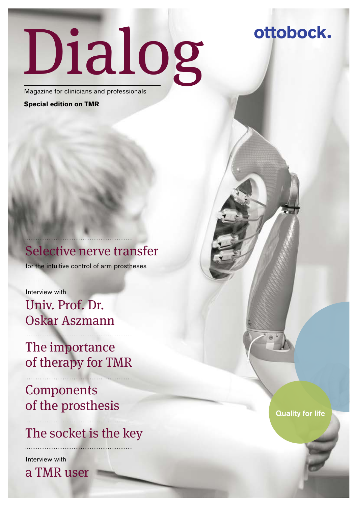# Dialog

Magazine for clinicians and professionals

**Special edition on TMR**

## Selective nerve transfer

for the intuitive control of arm prostheses

Interview with

Univ. Prof. Dr. Oskar Aszmann

The importance of therapy for TMR

**Components** of the prosthesis

## The socket is the key

Interview with

a TMR user

**Quality for life** 

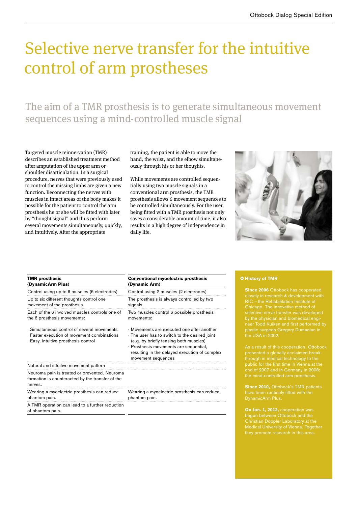## Selective nerve transfer for the intuitive control of arm prostheses

The aim of a TMR prosthesis is to generate simultaneous movement sequences using a mind-controlled muscle signal

Targeted muscle reinnervation (TMR) describes an established treatment method after amputation of the upper arm or shoulder disarticulation. In a surgical procedure, nerves that were previously used to control the missing limbs are given a new function. Reconnecting the nerves with muscles in intact areas of the body makes it possible for the patient to control the arm prosthesis he or she will be fitted with later by "thought signal" and thus perform several movements simultaneously, quickly, and intuitively. After the appropriate

training, the patient is able to move the hand, the wrist, and the elbow simultaneously through his or her thoughts.

While movements are controlled sequentially using two muscle signals in a conventional arm prosthesis, the TMR prosthesis allows 6 movement sequences to be controlled simultaneously. For the user, being fitted with a TMR prosthesis not only saves a considerable amount of time, it also results in a high degree of independence in daily life.



| <b>TMR</b> prosthesis<br>(DynamicArm Plus)                                                                                                | <b>Conventional myoelectric prosthesis</b><br>(Dynamic Arm)                                                                                                                                                                                                  |
|-------------------------------------------------------------------------------------------------------------------------------------------|--------------------------------------------------------------------------------------------------------------------------------------------------------------------------------------------------------------------------------------------------------------|
| Control using up to 6 muscles (6 electrodes)                                                                                              | Control using 2 muscles (2 electrodes)                                                                                                                                                                                                                       |
| Up to six different thoughts control one<br>movement of the prosthesis                                                                    | The prosthesis is always controlled by two<br>signals.                                                                                                                                                                                                       |
| Each of the 6 involved muscles controls one of<br>the 6 prosthesis movements:                                                             | Two muscles control 6 possible prosthesis<br>movements:                                                                                                                                                                                                      |
| · Simultaneous control of several movements<br>$\cdot$ Faster execution of movement combinations.<br>· Easy, intuitive prosthesis control | $\cdot$ Movements are executed one after another<br>. The user has to switch to the desired joint<br>(e.g. by briefly tensing both muscles)<br>· Prosthesis movements are sequential,<br>resulting in the delayed execution of complex<br>movement sequences |
| Natural and intuitive movement pattern                                                                                                    |                                                                                                                                                                                                                                                              |
| Neuroma pain is treated or prevented. Neuroma<br>formation is counteracted by the transfer of the<br>nerves.                              |                                                                                                                                                                                                                                                              |
| Wearing a myoelectric prosthesis can reduce<br>phantom pain.                                                                              | Wearing a myoelectric prosthesis can reduce<br>phantom pain.                                                                                                                                                                                                 |
| A TMR operation can lead to a further reduction<br>of phantom pain.                                                                       |                                                                                                                                                                                                                                                              |

#### • **History of TMR**

**Since 2006** Ottobock has cooperated neer Todd Kuiken and first performed by plastic surgeon Gregory Dumanian in the USA in 2002.

**Since 2010.** Ottobock's TMR patients DynamicArm Plus.

**On Jan. 1, 2012, cooperation was** Medical University of Vienna. Together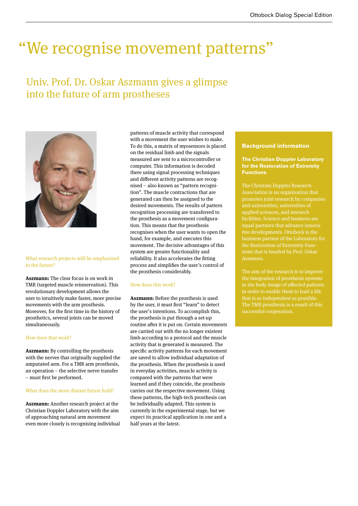## "We recognise movement patterns"

## Univ. Prof. Dr. Oskar Aszmann gives a glimpse into the future of arm prostheses



#### What research projects will be emphasised in the future?

**Aszmann:** The clear focus is on work in TMR (targeted muscle reinnervation). This revolutionary development allows the user to intuitively make faster, more precise movements with the arm prosthesis. Moreover, for the first time in the history of prosthetics, several joints can be moved simultaneously.

#### How does that work?

**Aszmann:** By controlling the prosthesis with the nerves that originally supplied the amputated arm. For a TMR arm prosthesis, an operation – the selective nerve transfer – must first be performed.

#### What does the more distant future hold?

**Aszmann:** Another research project at the Christian Doppler Laboratory with the aim of approaching natural arm movement even more closely is recognising individual patterns of muscle activity that correspond with a movement the user wishes to make. To do this, a matrix of myosensors is placed on the residual limb and the signals measured are sent to a microcontroller or computer. This information is decoded there using signal processing techniques and different activity patterns are recognised – also known as "pattern recognition". The muscle contractions that are generated can then be assigned to the desired movements. The results of pattern recognition processing are transferred to the prosthesis as a movement configuration. This means that the prosthesis recognises when the user wants to open the hand, for example, and executes this movement. The decisive advantages of this system are greater functionality and reliability. It also accelerates the fitting process and simplifies the user's control of the prosthesis considerably.

#### How does this work?

**Aszmann:** Before the prosthesis is used by the user, it must first "learn" to detect the user's intentions. To accomplish this, the prosthesis is put through a set-up routine after it is put on. Certain movements are carried out with the no longer existent limb according to a protocol and the muscle activity that is generated is measured. The specific activity patterns for each movement are saved to allow individual adaptation of the prosthesis. When the prosthesis is used in everyday activities, muscle activity is compared with the patterns that were learned and if they coincide, the prosthesis carries out the respective movement. Using these patterns, the high-tech prosthesis can be individually adapted. This system is currently in the experimental stage, but we expect its practical application in one and a half years at the latest.

#### **Background information**

#### **The Christian Doppler Laboratory for the Restoration of Extremity Functions**

The Christian Doppler Research Association is an organisation that promotes joint research by companies applied sciences, and research facilities. Science and business are tive developments. Ottobock is the Aszmann.

The aim of the research is to improve the integration of prosthesis systems in the body image of affected patients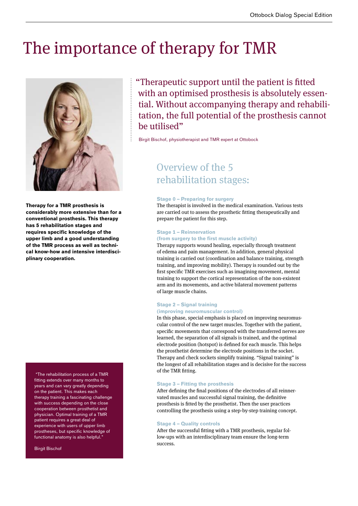## The importance of therapy for TMR



**Therapy for a TMR prosthesis is considerably more extensive than for a conventional prosthesis. This therapy has 5 rehabilitation stages and requires specific knowledge of the upper limb and a good understanding of the TMR process as well as technical know-how and intensive interdisciplinary cooperation.** 

"The rehabilitation process of a TMR fitting extends over many months to years and can vary greatly depending on the patient. This makes each therapy training a fascinating challenge with success depending on the close cooperation between prosthetist and physician. Optimal training of a TMR patient requires a great deal of experience with users of upper limb prostheses, but specific knowledge of functional anatomy is also helpful.'

Birgit Bischof

"Therapeutic support until the patient is fitted with an optimised prosthesis is absolutely essential. Without accompanying therapy and rehabilitation, the full potential of the prosthesis cannot be utilised"

Birgit Bischof, physiotherapist and TMR expert at Ottobock

### Overview of the 5 rehabilitation stages:

#### **Stage 0 – Preparing for surgery**

The therapist is involved in the medical examination. Various tests are carried out to assess the prosthetic fitting therapeutically and prepare the patient for this step.

#### **Stage 1 – Reinnervation**

#### **(from surgery to the first muscle activity)**

Therapy supports wound healing, especially through treatment of edema and pain management. In addition, general physical training is carried out (coordination and balance training, strength training, and improving mobility). Therapy is rounded out by the first specific TMR exercises such as imagining movement, mental training to support the cortical representation of the non-existent arm and its movements, and active bilateral movement patterns of large muscle chains.

#### **Stage 2 – Signal training**

#### **(improving neuromuscular control)**

In this phase, special emphasis is placed on improving neuromuscular control of the new target muscles. Together with the patient, specific movements that correspond with the transferred nerves are learned, the separation of all signals is trained, and the optimal electrode position (hotspot) is defined for each muscle. This helps the prosthetist determine the electrode positions in the socket. Therapy and check sockets simplify training. "Signal training" is the longest of all rehabilitation stages and is decisive for the success of the TMR fitting.

#### **Stage 3 – Fitting the prosthesis**

After defining the final positions of the electrodes of all reinnervated muscles and successful signal training, the definitive prosthesis is fitted by the prosthetist. Then the user practices controlling the prosthesis using a step-by-step training concept.

#### **Stage 4 – Quality controls**

After the successful fitting with a TMR prosthesis, regular follow-ups with an interdisciplinary team ensure the long-term success.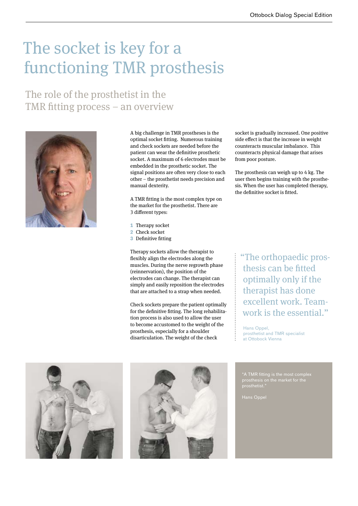## The socket is key for a functioning TMR prosthesis

The role of the prosthetist in the TMR fitting process – an overview



A big challenge in TMR prostheses is the optimal socket fitting. Numerous training and check sockets are needed before the patient can wear the definitive prosthetic socket. A maximum of 6 electrodes must be embedded in the prosthetic socket. The signal positions are often very close to each other – the prosthetist needs precision and manual dexterity.

A TMR fitting is the most complex type on the market for the prosthetist. There are 3 different types:

- **1** Therapy socket
- **2** Check socket
- **3** Definitive fitting

Therapy sockets allow the therapist to flexibly align the electrodes along the muscles. During the nerve regrowth phase (reinnervation), the position of the electrodes can change. The therapist can simply and easily reposition the electrodes that are attached to a strap when needed.

Check sockets prepare the patient optimally for the definitive fitting. The long rehabilitation process is also used to allow the user to become accustomed to the weight of the prosthesis, especially for a shoulder disarticulation. The weight of the check

socket is gradually increased. One positive side effect is that the increase in weight counteracts muscular imbalance. This counteracts physical damage that arises from poor posture.

The prosthesis can weigh up to 4 kg. The user then begins training with the prosthesis. When the user has completed therapy, the definitive socket is fitted.

"The orthopaedic prosthesis can be fitted optimally only if the therapist has done excellent work. Teamwork is the essential."

Hans Oppel, prosthetist and TMR specialist at Ottobock Vienna





"A TMR fitting is the most complex prosthetist."

Hans Oppel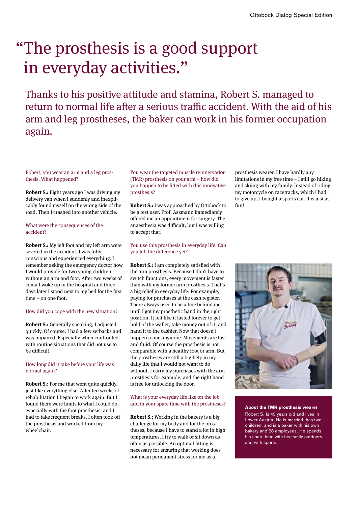## "The prosthesis is a good support in everyday activities."

Thanks to his positive attitude and stamina, Robert S. managed to return to normal life after a serious traffic accident. With the aid of his arm and leg prostheses, the baker can work in his former occupation again.

Robert, you wear an arm and a leg prosthesis. What happened?

**Robert S.:** Eight years ago I was driving my delivery van when I suddenly and inexplicably found myself on the wrong side of the road. Then I crashed into another vehicle.

#### What were the consequences of the accident?

**Robert S.:** My left foot and my left arm were severed in the accident. I was fully conscious and experienced everything. I remember asking the emergency doctor how I would provide for two young children without an arm and foot. After two weeks of coma I woke up in the hospital and three days later I stood next to my bed for the first time – on one foot.

#### How did you cope with the new situation?

**Robert S.:** Generally speaking, I adjusted quickly. Of course, I had a few setbacks and was impaired. Especially when confronted with routine situations that did not use to be difficult.

#### How long did it take before your life was normal again?

**Robert S.:** For me that went quite quickly, just like everything else. After ten weeks of rehabilitation I began to work again. But I found there were limits to what I could do, especially with the foot prosthesis, and I had to take frequent breaks. I often took off the prosthesis and worked from my wheelchair.

You wear the targeted muscle reinnervation (TMR) prosthesis on your arm – how did you happen to be fitted with this innovative prosthesis?

**Robert S.:** I was approached by Ottobock to be a test user. Prof. Aszmann immediately offered me an appointment for surgery. The anaesthesia was difficult, but I was willing to accept that.

#### You use this prosthesis in everyday life. Can you tell the difference yet?

**Robert S.:** I am completely satisfied with the arm prosthesis. Because I don't have to switch functions, every movement is faster than with my former arm prosthesis. That's a big relief in everyday life. For example, paying for purchases at the cash register. There always used to be a line behind me until I got my prosthetic hand in the right position. It felt like it lasted forever to get hold of the wallet, take money out of it, and hand it to the cashier. Now that doesn't happen to me anymore. Movements are fast and fluid. Of course the prosthesis is not comparable with a healthy foot or arm. But the prostheses are still a big help in my daily life that I would not want to do without. I carry my purchases with the arm prosthesis for example, and the right hand is free for unlocking the door.

#### What is your everyday life like on the job and in your spare time with the prostheses?

**Robert S.:** Working in the bakery is a big challenge for my body and for the prostheses, because I have to stand a lot in high temperatures. I try to walk or sit down as often as possible. An optimal fitting is necessary for ensuring that working does not mean permanent stress for me as a

prosthesis wearer. I have hardly any limitations in my free time – I still go hiking and skiing with my family. Instead of riding my motorcycle on racetracks, which I had to give up, I bought a sports car. It is just as fun!



#### **About the TMR prosthesis wearer**

Robert S. is 43 years old and lives in Lower Austria. He is married, has two children, and is a baker with his own bakery and 28 employees. He spends his spare time with his family outdoors and with sports.